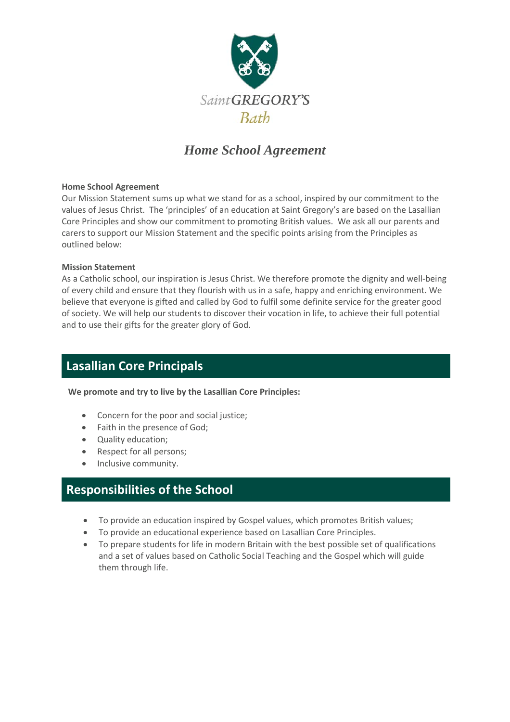

## *Home School Agreement*

#### **Home School Agreement**

Our Mission Statement sums up what we stand for as a school, inspired by our commitment to the values of Jesus Christ. The 'principles' of an education at Saint Gregory's are based on the Lasallian Core Principles and show our commitment to promoting British values. We ask all our parents and carers to support our Mission Statement and the specific points arising from the Principles as outlined below:

#### **Mission Statement**

As a Catholic school, our inspiration is Jesus Christ. We therefore promote the dignity and well-being of every child and ensure that they flourish with us in a safe, happy and enriching environment. We believe that everyone is gifted and called by God to fulfil some definite service for the greater good of society. We will help our students to discover their vocation in life, to achieve their full potential and to use their gifts for the greater glory of God.

### **Lasallian Core Principals**

**We promote and try to live by the Lasallian Core Principles:**

- Concern for the poor and social justice;
- Faith in the presence of God;
- Quality education;
- Respect for all persons;
- Inclusive community.

### **Responsibilities of the School**

- To provide an education inspired by Gospel values, which promotes British values;
- To provide an educational experience based on Lasallian Core Principles.
- To prepare students for life in modern Britain with the best possible set of qualifications and a set of values based on Catholic Social Teaching and the Gospel which will guide them through life.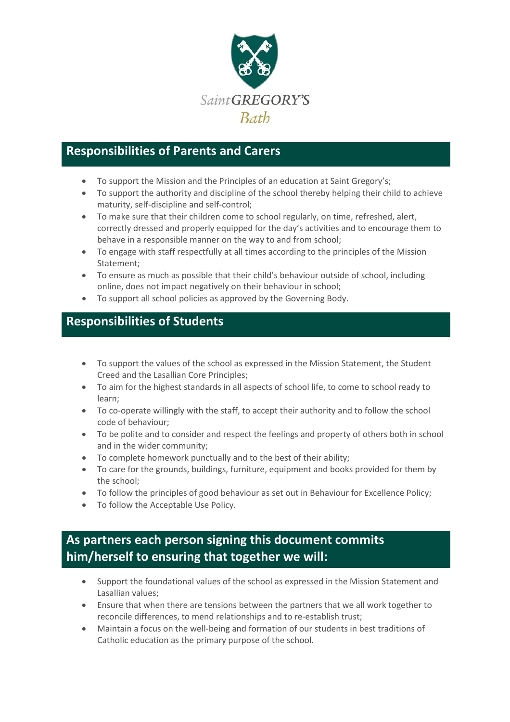

# **Responsibilities of Parents and Carers**

- To support the Mission and the Principles of an education at Saint Gregory's;
- To support the authority and discipline of the school thereby helping their child to achieve maturity, self-discipline and self-control;
- To make sure that their children come to school regularly, on time, refreshed, alert, correctly dressed and properly equipped for the day's activities and to encourage them to behave in a responsible manner on the way to and from school;
- To engage with staff respectfully at all times according to the principles of the Mission Statement;
- To ensure as much as possible that their child's behaviour outside of school, including online, does not impact negatively on their behaviour in school;
- To support all school policies as approved by the Governing Body.

## **Responsibilities of Students**

- To support the values of the school as expressed in the Mission Statement, the Student Creed and the Lasallian Core Principles;
- To aim for the highest standards in all aspects of school life, to come to school ready to learn;
- To co-operate willingly with the staff, to accept their authority and to follow the school code of behaviour;
- To be polite and to consider and respect the feelings and property of others both in school and in the wider community;
- To complete homework punctually and to the best of their ability;
- To care for the grounds, buildings, furniture, equipment and books provided for them by the school;
- To follow the principles of good behaviour as set out in Behaviour for Excellence Policy;
- To follow the Acceptable Use Policy.

## **As partners each person signing this document commits him/herself to ensuring that together we will:**

- Support the foundational values of the school as expressed in the Mission Statement and Lasallian values;
- Ensure that when there are tensions between the partners that we all work together to reconcile differences, to mend relationships and to re-establish trust;
- Maintain a focus on the well-being and formation of our students in best traditions of Catholic education as the primary purpose of the school.